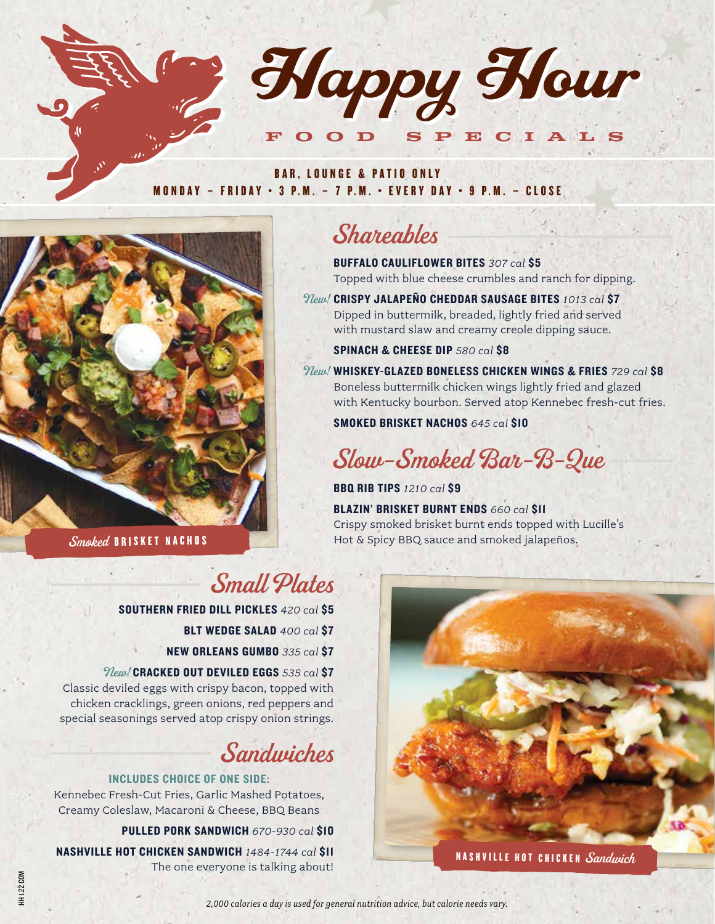

#### BAR, LOUNGE & PATIO ONLY MONDAY – FRIDAY • 3 P.M. – 7 P.M. • EVERY DAY • 9 P.M. – CLOSE



Smoked BRISKET NACHOS

# Shareables

BUFFALO CAULIFLOWER BITES *307 cal* \$5 Topped with blue cheese crumbles and ranch for dipping.

CRISPY JALAPEÑO CHEDDAR SAUSAGE BITES *1013 cal* \$7 New! Dipped in buttermilk, breaded, lightly fried and served with mustard slaw and creamy creole dipping sauce.

SPINACH & CHEESE DIP *580 cal* \$8

WHISKEY-GLAZED BONELESS CHICKEN WINGS & FRIES *729 cal* \$8 New! Boneless buttermilk chicken wings lightly fried and glazed with Kentucky bourbon. Served atop Kennebec fresh-cut fries.

SMOKED BRISKET NACHOS *645 cal* \$10

# Slow-Smoked Bar-B-Que

BBQ RIB TIPS *1210 cal* \$9

BLAZIN' BRISKET BURNT ENDS *660 cal* \$11 Crispy smoked brisket burnt ends topped with Lucille's Hot & Spicy BBQ sauce and smoked jalapeños.

# Small Plates

SOUTHERN FRIED DILL PICKLES *420 cal* \$5

- BLT WEDGE SALAD *400 cal* \$7
- NEW ORLEANS GUMBO *335 cal* \$7

CRACKED OUT DEVILED EGGS *535 cal* \$7 New!

Classic deviled eggs with crispy bacon, topped with chicken cracklings, green onions, red peppers and special seasonings served atop crispy onion strings.

# Sandwiches

#### INCLUDES CHOICE OF ONE SIDE:

Kennebec Fresh-Cut Fries, Garlic Mashed Potatoes, Creamy Coleslaw, Macaroni & Cheese, BBQ Beans

PULLED PORK SANDWICH *670-930 cal* \$10

NASHVILLE HOT CHICKEN SANDWICH *1484-1744 cal* \$11 The one everyone is talking about!

HH 1.22 COM

1H1.22 COM



*2,000 calories a day is used for general nutrition advice, but calorie needs vary.*